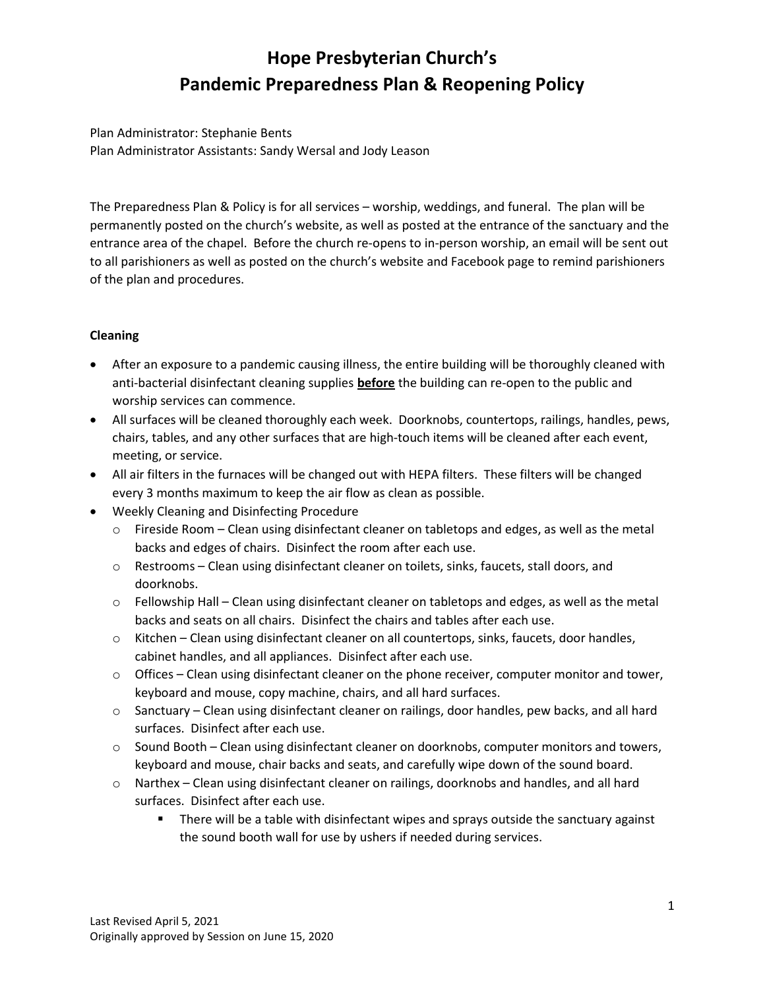# Hope Presbyterian Church's Pandemic Preparedness Plan & Reopening Policy

Plan Administrator: Stephanie Bents Plan Administrator Assistants: Sandy Wersal and Jody Leason

The Preparedness Plan & Policy is for all services – worship, weddings, and funeral. The plan will be permanently posted on the church's website, as well as posted at the entrance of the sanctuary and the entrance area of the chapel. Before the church re-opens to in-person worship, an email will be sent out to all parishioners as well as posted on the church's website and Facebook page to remind parishioners of the plan and procedures.

# Cleaning

- After an exposure to a pandemic causing illness, the entire building will be thoroughly cleaned with anti-bacterial disinfectant cleaning supplies **before** the building can re-open to the public and worship services can commence.
- All surfaces will be cleaned thoroughly each week. Doorknobs, countertops, railings, handles, pews, chairs, tables, and any other surfaces that are high-touch items will be cleaned after each event, meeting, or service.
- All air filters in the furnaces will be changed out with HEPA filters. These filters will be changed every 3 months maximum to keep the air flow as clean as possible.
- Weekly Cleaning and Disinfecting Procedure
	- $\circ$  Fireside Room Clean using disinfectant cleaner on tabletops and edges, as well as the metal backs and edges of chairs. Disinfect the room after each use.
	- o Restrooms Clean using disinfectant cleaner on toilets, sinks, faucets, stall doors, and doorknobs.
	- $\circ$  Fellowship Hall Clean using disinfectant cleaner on tabletops and edges, as well as the metal backs and seats on all chairs. Disinfect the chairs and tables after each use.
	- o Kitchen Clean using disinfectant cleaner on all countertops, sinks, faucets, door handles, cabinet handles, and all appliances. Disinfect after each use.
	- $\circ$  Offices Clean using disinfectant cleaner on the phone receiver, computer monitor and tower, keyboard and mouse, copy machine, chairs, and all hard surfaces.
	- $\circ$  Sanctuary Clean using disinfectant cleaner on railings, door handles, pew backs, and all hard surfaces. Disinfect after each use.
	- $\circ$  Sound Booth Clean using disinfectant cleaner on doorknobs, computer monitors and towers, keyboard and mouse, chair backs and seats, and carefully wipe down of the sound board.
	- o Narthex Clean using disinfectant cleaner on railings, doorknobs and handles, and all hard surfaces. Disinfect after each use.
		- **There will be a table with disinfectant wipes and sprays outside the sanctuary against** the sound booth wall for use by ushers if needed during services.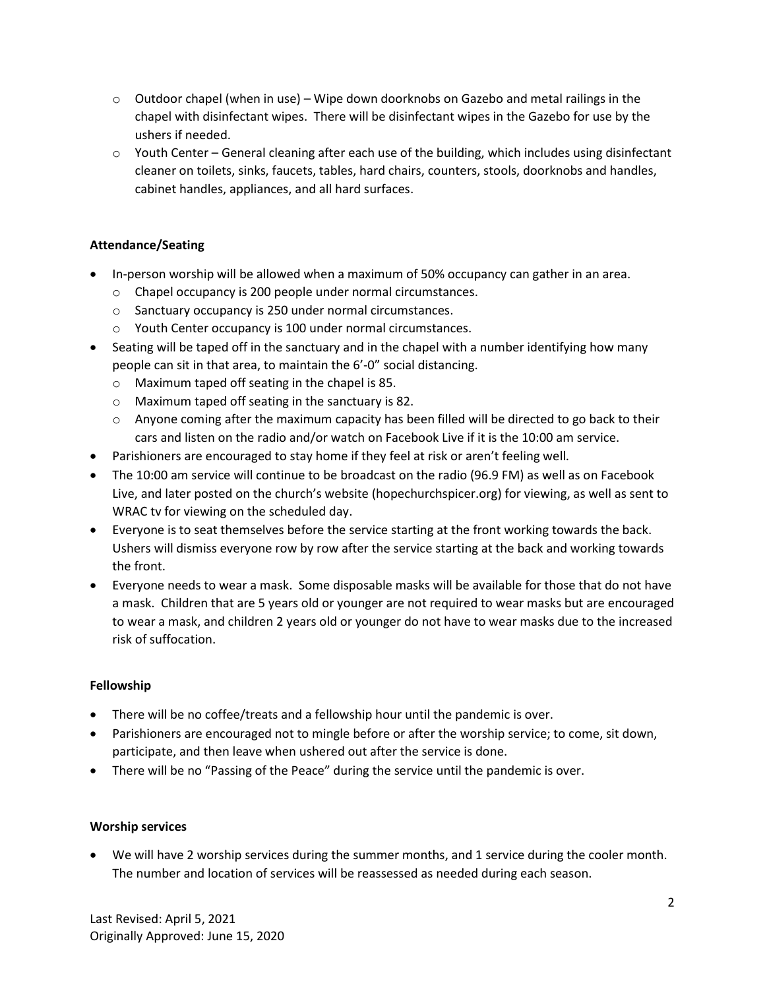- $\circ$  Outdoor chapel (when in use) Wipe down doorknobs on Gazebo and metal railings in the chapel with disinfectant wipes. There will be disinfectant wipes in the Gazebo for use by the ushers if needed.
- $\circ$  Youth Center General cleaning after each use of the building, which includes using disinfectant cleaner on toilets, sinks, faucets, tables, hard chairs, counters, stools, doorknobs and handles, cabinet handles, appliances, and all hard surfaces.

# Attendance/Seating

- In-person worship will be allowed when a maximum of 50% occupancy can gather in an area.
	- o Chapel occupancy is 200 people under normal circumstances.
	- o Sanctuary occupancy is 250 under normal circumstances.
	- o Youth Center occupancy is 100 under normal circumstances.
- Seating will be taped off in the sanctuary and in the chapel with a number identifying how many people can sit in that area, to maintain the 6'-0" social distancing.
	- o Maximum taped off seating in the chapel is 85.
	- o Maximum taped off seating in the sanctuary is 82.
	- $\circ$  Anyone coming after the maximum capacity has been filled will be directed to go back to their cars and listen on the radio and/or watch on Facebook Live if it is the 10:00 am service.
- Parishioners are encouraged to stay home if they feel at risk or aren't feeling well.
- The 10:00 am service will continue to be broadcast on the radio (96.9 FM) as well as on Facebook Live, and later posted on the church's website (hopechurchspicer.org) for viewing, as well as sent to WRAC tv for viewing on the scheduled day.
- Everyone is to seat themselves before the service starting at the front working towards the back. Ushers will dismiss everyone row by row after the service starting at the back and working towards the front.
- Everyone needs to wear a mask. Some disposable masks will be available for those that do not have a mask. Children that are 5 years old or younger are not required to wear masks but are encouraged to wear a mask, and children 2 years old or younger do not have to wear masks due to the increased risk of suffocation.

#### Fellowship

- There will be no coffee/treats and a fellowship hour until the pandemic is over.
- Parishioners are encouraged not to mingle before or after the worship service; to come, sit down, participate, and then leave when ushered out after the service is done.
- There will be no "Passing of the Peace" during the service until the pandemic is over.

#### Worship services

 We will have 2 worship services during the summer months, and 1 service during the cooler month. The number and location of services will be reassessed as needed during each season.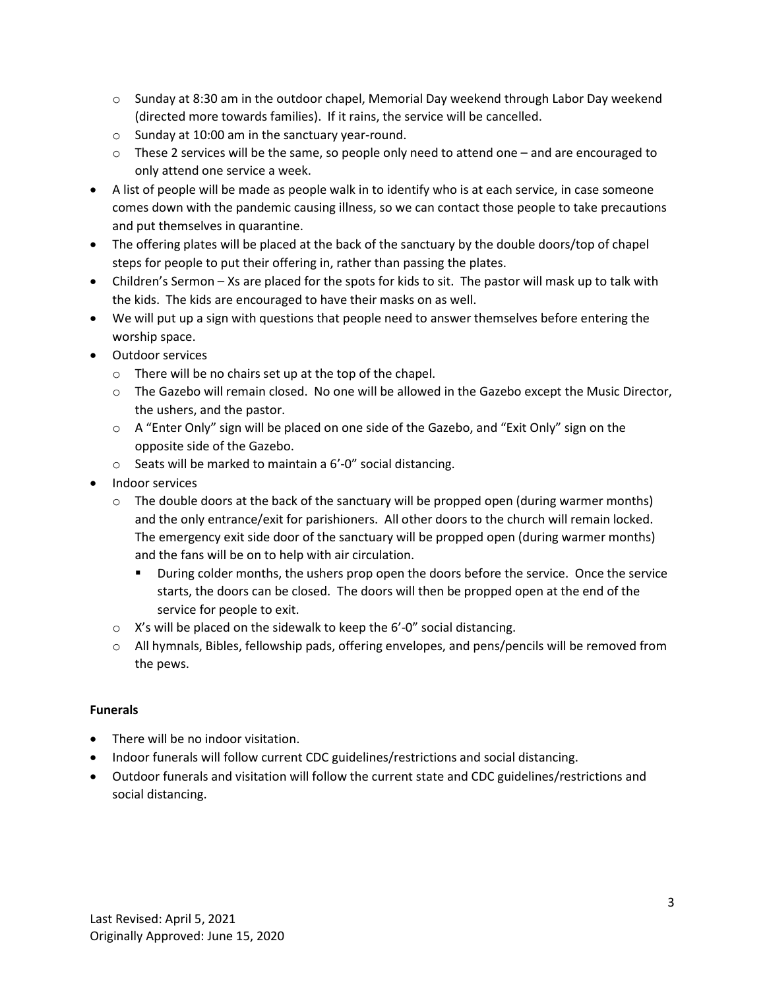- $\circ$  Sunday at 8:30 am in the outdoor chapel, Memorial Day weekend through Labor Day weekend (directed more towards families). If it rains, the service will be cancelled.
- o Sunday at 10:00 am in the sanctuary year-round.
- $\circ$  These 2 services will be the same, so people only need to attend one and are encouraged to only attend one service a week.
- A list of people will be made as people walk in to identify who is at each service, in case someone comes down with the pandemic causing illness, so we can contact those people to take precautions and put themselves in quarantine.
- The offering plates will be placed at the back of the sanctuary by the double doors/top of chapel steps for people to put their offering in, rather than passing the plates.
- Children's Sermon Xs are placed for the spots for kids to sit. The pastor will mask up to talk with the kids. The kids are encouraged to have their masks on as well.
- We will put up a sign with questions that people need to answer themselves before entering the worship space.
- Outdoor services
	- o There will be no chairs set up at the top of the chapel.
	- o The Gazebo will remain closed. No one will be allowed in the Gazebo except the Music Director, the ushers, and the pastor.
	- $\circ$  A "Enter Only" sign will be placed on one side of the Gazebo, and "Exit Only" sign on the opposite side of the Gazebo.
	- o Seats will be marked to maintain a 6'-0" social distancing.
- Indoor services
	- $\circ$  The double doors at the back of the sanctuary will be propped open (during warmer months) and the only entrance/exit for parishioners. All other doors to the church will remain locked. The emergency exit side door of the sanctuary will be propped open (during warmer months) and the fans will be on to help with air circulation.
		- **During colder months, the ushers prop open the doors before the service. Once the service 1** starts, the doors can be closed. The doors will then be propped open at the end of the service for people to exit.
	- o X's will be placed on the sidewalk to keep the 6'-0" social distancing.
	- o All hymnals, Bibles, fellowship pads, offering envelopes, and pens/pencils will be removed from the pews.

# Funerals

- There will be no indoor visitation.
- Indoor funerals will follow current CDC guidelines/restrictions and social distancing.
- Outdoor funerals and visitation will follow the current state and CDC guidelines/restrictions and social distancing.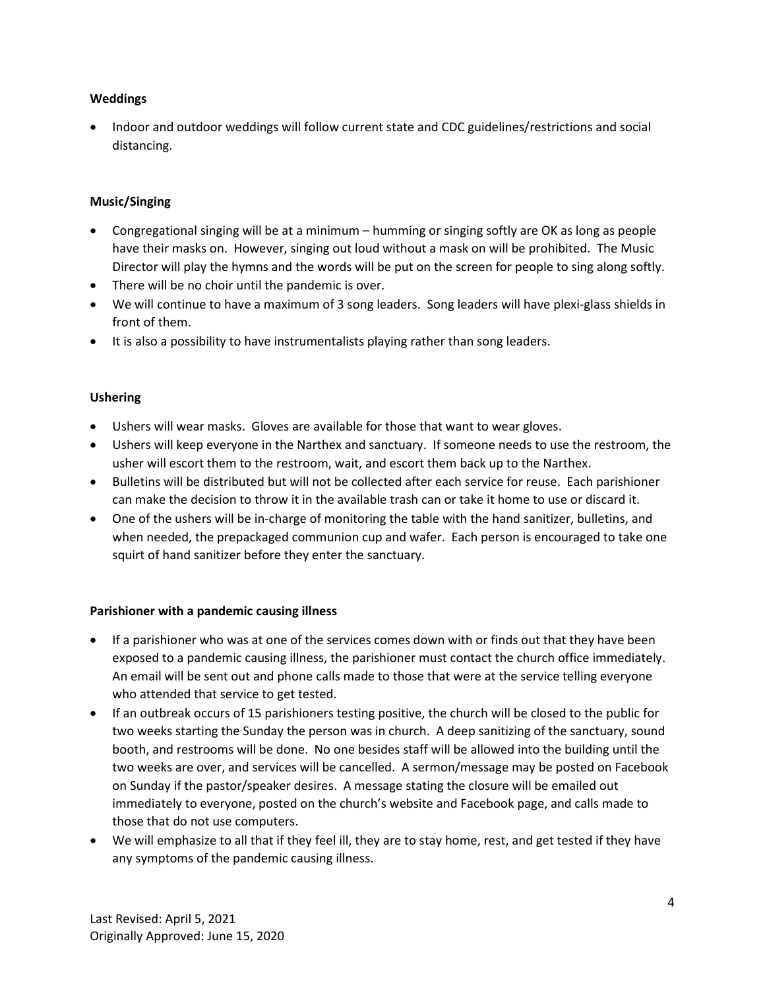## Weddings

 Indoor and outdoor weddings will follow current state and CDC guidelines/restrictions and social distancing.

## Music/Singing

- Congregational singing will be at a minimum humming or singing softly are OK as long as people have their masks on. However, singing out loud without a mask on will be prohibited. The Music Director will play the hymns and the words will be put on the screen for people to sing along softly.
- There will be no choir until the pandemic is over.
- We will continue to have a maximum of 3 song leaders. Song leaders will have plexi-glass shields in front of them.
- It is also a possibility to have instrumentalists playing rather than song leaders.

## Ushering

- Ushers will wear masks. Gloves are available for those that want to wear gloves.
- Ushers will keep everyone in the Narthex and sanctuary. If someone needs to use the restroom, the usher will escort them to the restroom, wait, and escort them back up to the Narthex.
- Bulletins will be distributed but will not be collected after each service for reuse. Each parishioner can make the decision to throw it in the available trash can or take it home to use or discard it.
- One of the ushers will be in-charge of monitoring the table with the hand sanitizer, bulletins, and when needed, the prepackaged communion cup and wafer. Each person is encouraged to take one squirt of hand sanitizer before they enter the sanctuary.

#### Parishioner with a pandemic causing illness

- If a parishioner who was at one of the services comes down with or finds out that they have been exposed to a pandemic causing illness, the parishioner must contact the church office immediately. An email will be sent out and phone calls made to those that were at the service telling everyone who attended that service to get tested.
- If an outbreak occurs of 15 parishioners testing positive, the church will be closed to the public for two weeks starting the Sunday the person was in church. A deep sanitizing of the sanctuary, sound booth, and restrooms will be done. No one besides staff will be allowed into the building until the two weeks are over, and services will be cancelled. A sermon/message may be posted on Facebook on Sunday if the pastor/speaker desires. A message stating the closure will be emailed out immediately to everyone, posted on the church's website and Facebook page, and calls made to those that do not use computers.
- We will emphasize to all that if they feel ill, they are to stay home, rest, and get tested if they have any symptoms of the pandemic causing illness.